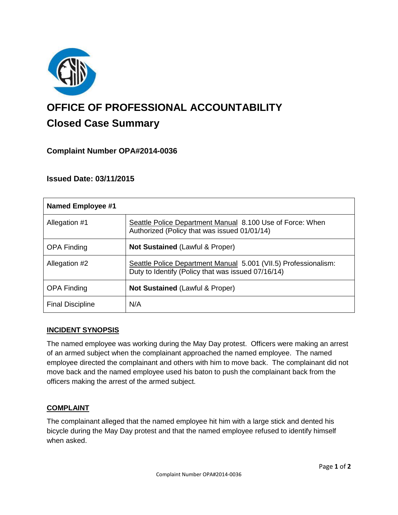

# **OFFICE OF PROFESSIONAL ACCOUNTABILITY Closed Case Summary**

# **Complaint Number OPA#2014-0036**

# **Issued Date: 03/11/2015**

| Named Employee #1       |                                                                                                                       |
|-------------------------|-----------------------------------------------------------------------------------------------------------------------|
| Allegation #1           | Seattle Police Department Manual 8.100 Use of Force: When<br>Authorized (Policy that was issued 01/01/14)             |
| <b>OPA Finding</b>      | <b>Not Sustained (Lawful &amp; Proper)</b>                                                                            |
| Allegation #2           | Seattle Police Department Manual 5.001 (VII.5) Professionalism:<br>Duty to Identify (Policy that was issued 07/16/14) |
| <b>OPA Finding</b>      | <b>Not Sustained (Lawful &amp; Proper)</b>                                                                            |
| <b>Final Discipline</b> | N/A                                                                                                                   |

## **INCIDENT SYNOPSIS**

The named employee was working during the May Day protest. Officers were making an arrest of an armed subject when the complainant approached the named employee. The named employee directed the complainant and others with him to move back. The complainant did not move back and the named employee used his baton to push the complainant back from the officers making the arrest of the armed subject.

## **COMPLAINT**

The complainant alleged that the named employee hit him with a large stick and dented his bicycle during the May Day protest and that the named employee refused to identify himself when asked.